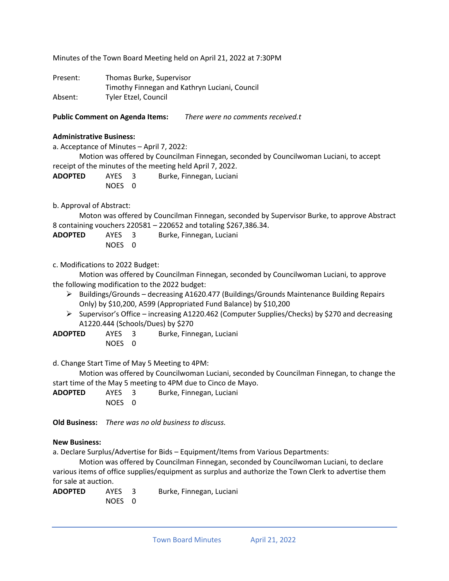Minutes of the Town Board Meeting held on April 21, 2022 at 7:30PM

| Present: | Thomas Burke, Supervisor                      |
|----------|-----------------------------------------------|
|          | Timothy Finnegan and Kathryn Luciani, Council |
| Absent:  | Tyler Etzel, Council                          |

**Public Comment on Agenda Items:** *There were no comments received.t*

#### **Administrative Business:**

a. Acceptance of Minutes – April 7, 2022:

Motion was offered by Councilman Finnegan, seconded by Councilwoman Luciani, to accept receipt of the minutes of the meeting held April 7, 2022.

**ADOPTED** AYES 3 Burke, Finnegan, Luciani NOES 0

b. Approval of Abstract:

Moton was offered by Councilman Finnegan, seconded by Supervisor Burke, to approve Abstract 8 containing vouchers 220581 – 220652 and totaling \$267,386.34.

| <b>ADOPTED</b> | AYES 3 | Burke, Finnegan, Luciani |
|----------------|--------|--------------------------|
|                | NOES 0 |                          |

c. Modifications to 2022 Budget:

Motion was offered by Councilman Finnegan, seconded by Councilwoman Luciani, to approve the following modification to the 2022 budget:

- ➢ Buildings/Grounds decreasing A1620.477 (Buildings/Grounds Maintenance Building Repairs Only) by \$10,200, A599 (Appropriated Fund Balance) by \$10,200
- ➢ Supervisor's Office increasing A1220.462 (Computer Supplies/Checks) by \$270 and decreasing A1220.444 (Schools/Dues) by \$270
- **ADOPTED** AYES 3 Burke, Finnegan, Luciani NOES 0

d. Change Start Time of May 5 Meeting to 4PM:

Motion was offered by Councilwoman Luciani, seconded by Councilman Finnegan, to change the start time of the May 5 meeting to 4PM due to Cinco de Mayo.

**ADOPTED** AYES 3 Burke, Finnegan, Luciani NOES 0

**Old Business:** *There was no old business to discuss.*

## **New Business:**

a. Declare Surplus/Advertise for Bids – Equipment/Items from Various Departments:

Motion was offered by Councilman Finnegan, seconded by Councilwoman Luciani, to declare various items of office supplies/equipment as surplus and authorize the Town Clerk to advertise them for sale at auction.

**ADOPTED** AYES 3 Burke, Finnegan, Luciani NOES 0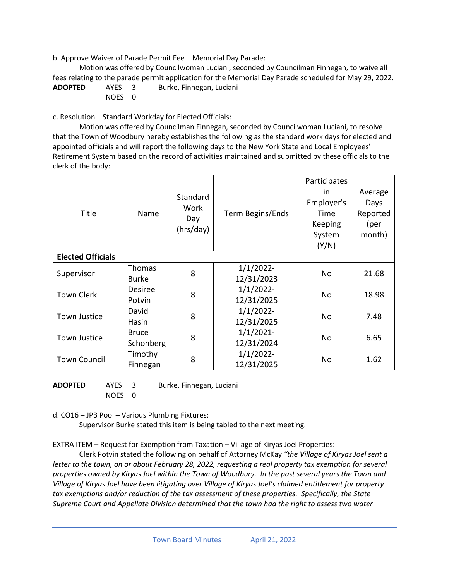b. Approve Waiver of Parade Permit Fee – Memorial Day Parade:

Motion was offered by Councilwoman Luciani, seconded by Councilman Finnegan, to waive all fees relating to the parade permit application for the Memorial Day Parade scheduled for May 29, 2022. **ADOPTED** AYES 3 Burke, Finnegan, Luciani NOES 0

c. Resolution – Standard Workday for Elected Officials:

Motion was offered by Councilman Finnegan, seconded by Councilwoman Luciani, to resolve that the Town of Woodbury hereby establishes the following as the standard work days for elected and appointed officials and will report the following days to the New York State and Local Employees' Retirement System based on the record of activities maintained and submitted by these officials to the clerk of the body:

| Title                    | Name                          | Standard<br>Work<br>Day<br>(hrs/day) | Term Begins/Ends           | Participates<br>in.<br>Employer's<br>Time<br>Keeping<br>System<br>(Y/N) | Average<br>Days<br>Reported<br>(per<br>month) |  |
|--------------------------|-------------------------------|--------------------------------------|----------------------------|-------------------------------------------------------------------------|-----------------------------------------------|--|
| <b>Elected Officials</b> |                               |                                      |                            |                                                                         |                                               |  |
| Supervisor               | <b>Thomas</b><br><b>Burke</b> | 8                                    | $1/1/2022$ -<br>12/31/2023 | No.                                                                     | 21.68                                         |  |
| <b>Town Clerk</b>        | <b>Desiree</b><br>Potvin      | 8                                    | $1/1/2022$ -<br>12/31/2025 | <b>No</b>                                                               | 18.98                                         |  |
| Town Justice             | David<br>Hasin                | 8                                    | $1/1/2022$ -<br>12/31/2025 | No.                                                                     | 7.48                                          |  |
| <b>Town Justice</b>      | <b>Bruce</b><br>Schonberg     | 8                                    | $1/1/2021$ -<br>12/31/2024 | <b>No</b>                                                               | 6.65                                          |  |
| <b>Town Council</b>      | Timothy<br>Finnegan           | 8                                    | $1/1/2022$ -<br>12/31/2025 | No                                                                      | 1.62                                          |  |

**ADOPTED** AYES 3 Burke, Finnegan, Luciani NOES 0

d. CO16 – JPB Pool – Various Plumbing Fixtures:

Supervisor Burke stated this item is being tabled to the next meeting.

EXTRA ITEM – Request for Exemption from Taxation – Village of Kiryas Joel Properties:

Clerk Potvin stated the following on behalf of Attorney McKay *"the Village of Kiryas Joel sent a letter to the town, on or about February 28, 2022, requesting a real property tax exemption for several properties owned by Kiryas Joel within the Town of Woodbury. In the past several years the Town and Village of Kiryas Joel have been litigating over Village of Kiryas Joel's claimed entitlement for property tax exemptions and/or reduction of the tax assessment of these properties. Specifically, the State Supreme Court and Appellate Division determined that the town had the right to assess two water*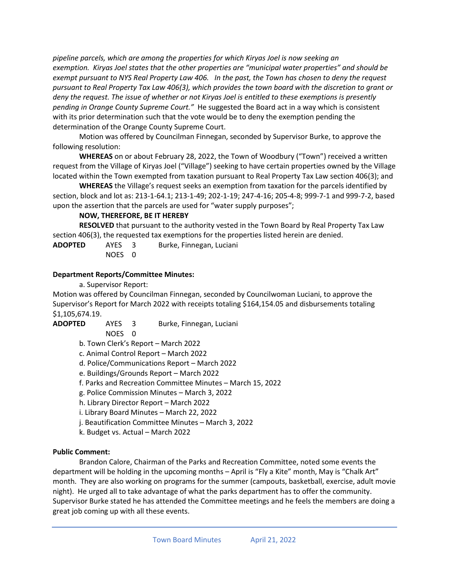*pipeline parcels, which are among the properties for which Kiryas Joel is now seeking an exemption. Kiryas Joel states that the other properties are "municipal water properties" and should be exempt pursuant to NYS Real Property Law 406. In the past, the Town has chosen to deny the request pursuant to Real Property Tax Law 406(3), which provides the town board with the discretion to grant or deny the request. The issue of whether or not Kiryas Joel is entitled to these exemptions is presently pending in Orange County Supreme Court."* He suggested the Board act in a way which is consistent with its prior determination such that the vote would be to deny the exemption pending the determination of the Orange County Supreme Court.

Motion was offered by Councilman Finnegan, seconded by Supervisor Burke, to approve the following resolution:

**WHEREAS** on or about February 28, 2022, the Town of Woodbury ("Town") received a written request from the Village of Kiryas Joel ("Village") seeking to have certain properties owned by the Village located within the Town exempted from taxation pursuant to Real Property Tax Law section 406(3); and

**WHEREAS** the Village's request seeks an exemption from taxation for the parcels identified by section, block and lot as: 213-1-64.1; 213-1-49; 202-1-19; 247-4-16; 205-4-8; 999-7-1 and 999-7-2, based upon the assertion that the parcels are used for "water supply purposes";

# **NOW, THEREFORE, BE IT HEREBY**

**RESOLVED** that pursuant to the authority vested in the Town Board by Real Property Tax Law section 406(3), the requested tax exemptions for the properties listed herein are denied.

| <b>ADOPTED</b> | AYES 3 | Burke, Finnegan, Luciani |
|----------------|--------|--------------------------|
|                | NOES 0 |                          |

# **Department Reports/Committee Minutes:**

a. Supervisor Report:

Motion was offered by Councilman Finnegan, seconded by Councilwoman Luciani, to approve the Supervisor's Report for March 2022 with receipts totaling \$164,154.05 and disbursements totaling \$1,105,674.19.

**ADOPTED** AYES 3 Burke, Finnegan, Luciani

NOES 0

- b. Town Clerk's Report March 2022
- c. Animal Control Report March 2022
- d. Police/Communications Report March 2022
- e. Buildings/Grounds Report March 2022
- f. Parks and Recreation Committee Minutes March 15, 2022
- g. Police Commission Minutes March 3, 2022
- h. Library Director Report March 2022
- i. Library Board Minutes March 22, 2022
- j. Beautification Committee Minutes March 3, 2022
- k. Budget vs. Actual March 2022

## **Public Comment:**

Brandon Calore, Chairman of the Parks and Recreation Committee, noted some events the department will be holding in the upcoming months – April is "Fly a Kite" month, May is "Chalk Art" month. They are also working on programs for the summer (campouts, basketball, exercise, adult movie night). He urged all to take advantage of what the parks department has to offer the community. Supervisor Burke stated he has attended the Committee meetings and he feels the members are doing a great job coming up with all these events.